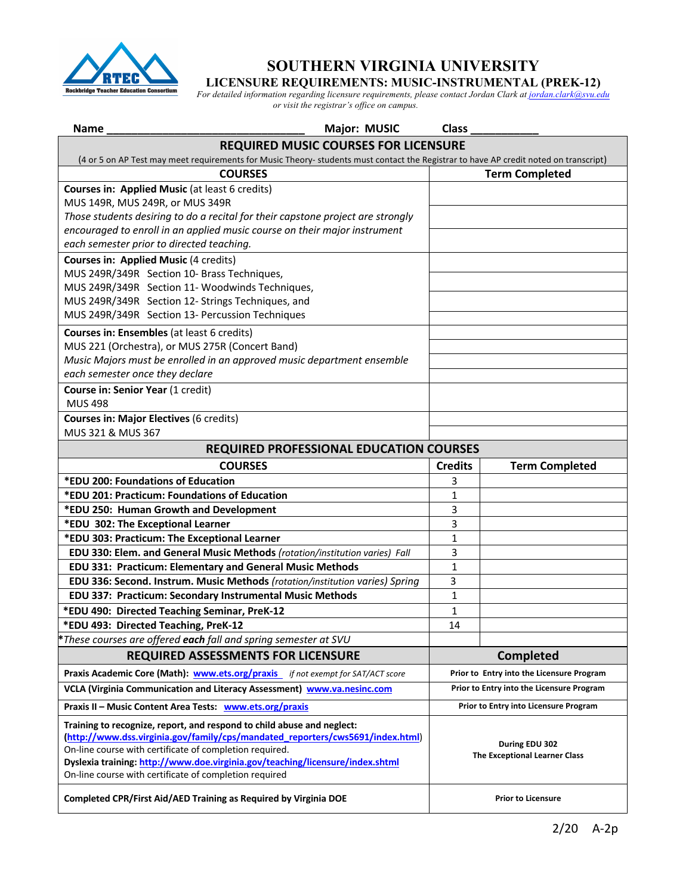

# **SOUTHERN VIRGINIA UNIVERSITY**

#### **LICENSURE REQUIREMENTS: MUSIC-INSTRUMENTAL (PREK-12)**

*For detailed information regarding licensure requirements, please contact Jordan Clark at jordan.clark@svu.edu or visit the registrar's office on campus.*

| <b>Name</b><br><b>Major: MUSIC</b>                                                                                                        | <b>Class</b>                                           |                                       |
|-------------------------------------------------------------------------------------------------------------------------------------------|--------------------------------------------------------|---------------------------------------|
| <b>REQUIRED MUSIC COURSES FOR LICENSURE</b>                                                                                               |                                                        |                                       |
| (4 or 5 on AP Test may meet requirements for Music Theory- students must contact the Registrar to have AP credit noted on transcript)     |                                                        |                                       |
| <b>COURSES</b>                                                                                                                            |                                                        | <b>Term Completed</b>                 |
| Courses in: Applied Music (at least 6 credits)                                                                                            |                                                        |                                       |
| MUS 149R, MUS 249R, or MUS 349R                                                                                                           |                                                        |                                       |
| Those students desiring to do a recital for their capstone project are strongly                                                           |                                                        |                                       |
| encouraged to enroll in an applied music course on their major instrument                                                                 |                                                        |                                       |
| each semester prior to directed teaching.                                                                                                 |                                                        |                                       |
| <b>Courses in: Applied Music (4 credits)</b>                                                                                              |                                                        |                                       |
| MUS 249R/349R Section 10- Brass Techniques,                                                                                               |                                                        |                                       |
| MUS 249R/349R Section 11- Woodwinds Techniques,                                                                                           |                                                        |                                       |
| MUS 249R/349R Section 12- Strings Techniques, and<br>MUS 249R/349R Section 13- Percussion Techniques                                      |                                                        |                                       |
|                                                                                                                                           |                                                        |                                       |
| Courses in: Ensembles (at least 6 credits)                                                                                                |                                                        |                                       |
| MUS 221 (Orchestra), or MUS 275R (Concert Band)                                                                                           |                                                        |                                       |
| Music Majors must be enrolled in an approved music department ensemble<br>each semester once they declare                                 |                                                        |                                       |
|                                                                                                                                           |                                                        |                                       |
| Course in: Senior Year (1 credit)<br><b>MUS 498</b>                                                                                       |                                                        |                                       |
| <b>Courses in: Major Electives (6 credits)</b>                                                                                            |                                                        |                                       |
| MUS 321 & MUS 367                                                                                                                         |                                                        |                                       |
| <b>REQUIRED PROFESSIONAL EDUCATION COURSES</b>                                                                                            |                                                        |                                       |
| <b>COURSES</b>                                                                                                                            | <b>Credits</b>                                         | <b>Term Completed</b>                 |
| *EDU 200: Foundations of Education                                                                                                        | 3                                                      |                                       |
| *EDU 201: Practicum: Foundations of Education                                                                                             | $\mathbf{1}$                                           |                                       |
| *EDU 250: Human Growth and Development                                                                                                    | 3                                                      |                                       |
| *EDU 302: The Exceptional Learner                                                                                                         | 3                                                      |                                       |
| *EDU 303: Practicum: The Exceptional Learner                                                                                              | 1                                                      |                                       |
| EDU 330: Elem. and General Music Methods (rotation/institution varies) Fall                                                               | 3                                                      |                                       |
| EDU 331: Practicum: Elementary and General Music Methods                                                                                  | 1                                                      |                                       |
| EDU 336: Second. Instrum. Music Methods (rotation/institution varies) Spring                                                              | 3                                                      |                                       |
| EDU 337: Practicum: Secondary Instrumental Music Methods                                                                                  | 1                                                      |                                       |
| *EDU 490: Directed Teaching Seminar, PreK-12                                                                                              | 1                                                      |                                       |
| *EDU 493: Directed Teaching, PreK-12                                                                                                      | 14                                                     |                                       |
| These courses are offered each fall and spring semester at SVU                                                                            |                                                        |                                       |
| <b>REQUIRED ASSESSMENTS FOR LICENSURE</b>                                                                                                 | <b>Completed</b>                                       |                                       |
| Praxis Academic Core (Math): www.ets.org/praxis if not exempt for SAT/ACT score                                                           | Prior to Entry into the Licensure Program              |                                       |
| VCLA (Virginia Communication and Literacy Assessment) www.va.nesinc.com                                                                   | Prior to Entry into the Licensure Program              |                                       |
| Praxis II - Music Content Area Tests: www.ets.org/praxis                                                                                  |                                                        | Prior to Entry into Licensure Program |
| Training to recognize, report, and respond to child abuse and neglect:                                                                    | During EDU 302<br><b>The Exceptional Learner Class</b> |                                       |
| (http://www.dss.virginia.gov/family/cps/mandated reporters/cws5691/index.html)<br>On-line course with certificate of completion required. |                                                        |                                       |
| Dyslexia training: http://www.doe.virginia.gov/teaching/licensure/index.shtml                                                             |                                                        |                                       |
| On-line course with certificate of completion required                                                                                    |                                                        |                                       |
| Completed CPR/First Aid/AED Training as Required by Virginia DOE                                                                          | <b>Prior to Licensure</b>                              |                                       |